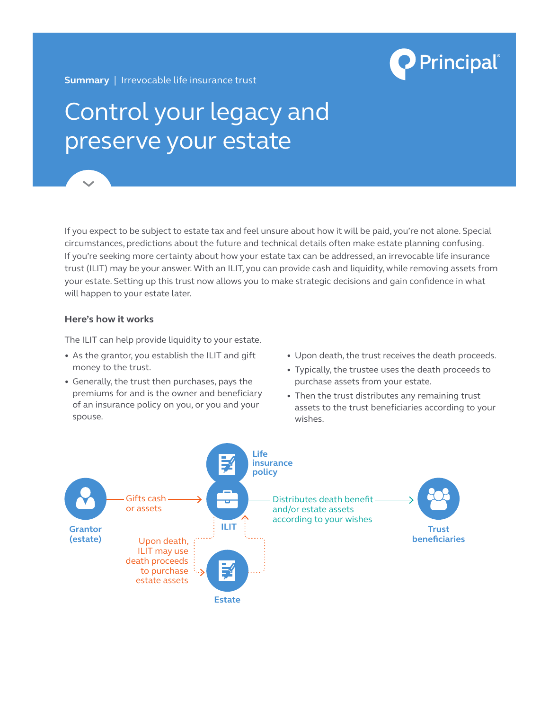

**Summary** | Irrevocable life insurance trust

## Control your legacy and preserve your estate

If you expect to be subject to estate tax and feel unsure about how it will be paid, you're not alone. Special circumstances, predictions about the future and technical details often make estate planning confusing. If you're seeking more certainty about how your estate tax can be addressed, an irrevocable life insurance trust (ILIT) may be your answer. With an ILIT, you can provide cash and liquidity, while removing assets from your estate. Setting up this trust now allows you to make strategic decisions and gain confidence in what will happen to your estate later.

## **Here's how it works**

The ILIT can help provide liquidity to your estate.

- **•**  As the grantor, you establish the ILIT and gift money to the trust.
- **•**  Generally, the trust then purchases, pays the premiums for and is the owner and beneficiary of an insurance policy on you, or you and your spouse.
- **•**  Upon death, the trust receives the death proceeds.
- **•**  Typically, the trustee uses the death proceeds to purchase assets from your estate.
- Then the trust distributes any remaining trust assets to the trust beneficiaries according to your wishes.